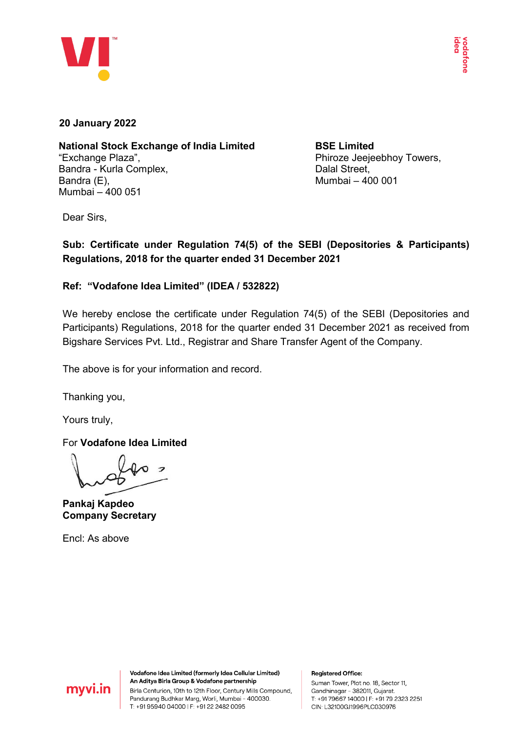

## **20 January 2022**

**National Stock Exchange of India Limited** "Exchange Plaza", Bandra - Kurla Complex, Bandra (E), Mumbai – 400 051

**BSE Limited** Phiroze Jeejeebhoy Towers, Dalal Street, Mumbai – 400 001

Dear Sirs,

**Sub: Certificate under Regulation 74(5) of the SEBI (Depositories & Participants) Regulations, 2018 for the quarter ended 31 December 2021**

## **Ref: "Vodafone Idea Limited" (IDEA / 532822)**

We hereby enclose the certificate under Regulation 74(5) of the SEBI (Depositories and Participants) Regulations, 2018 for the quarter ended 31 December 2021 as received from Bigshare Services Pvt. Ltd., Registrar and Share Transfer Agent of the Company.

The above is for your information and record.

Thanking you,

Yours truly,

For **Vodafone Idea Limited**

**Pankaj Kapdeo Company Secretary**

Encl: As above



Vodafone Idea Limited (formerly Idea Cellular Limited) An Aditya Birla Group & Vodafone partnership Birla Centurion, 10th to 12th Floor, Century Mills Compound, Pandurang Budhkar Marg, Worli, Mumbai - 400030. T: +91 95940 04000 | F: +91 22 2482 0095

## **Registered Office:**

Suman Tower, Plot no. 18, Sector 11, Gandhinagar - 382011, Gujarat. T: +91 79667 14000 | F: +91 79 2323 2251 CIN: L32100GJ1996PLC030976